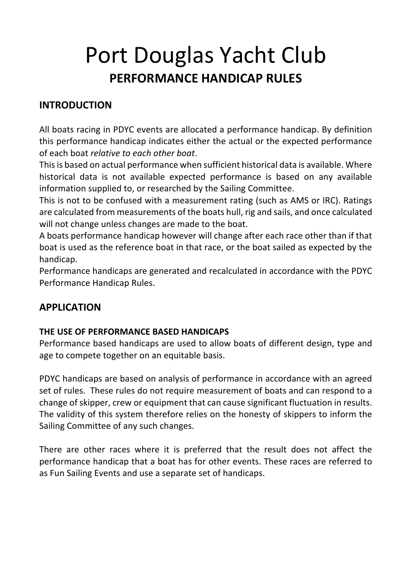# Port Douglas Yacht Club **PERFORMANCE HANDICAP RULES**

# **INTRODUCTION**

All boats racing in PDYC events are allocated a performance handicap. By definition this performance handicap indicates either the actual or the expected performance of each boat *relative to each other boat*.

This is based on actual performance when sufficient historical data is available. Where historical data is not available expected performance is based on any available information supplied to, or researched by the Sailing Committee.

This is not to be confused with a measurement rating (such as AMS or IRC). Ratings are calculated from measurements of the boats hull, rig and sails, and once calculated will not change unless changes are made to the boat.

A boats performance handicap however will change after each race other than if that boat is used as the reference boat in that race, or the boat sailed as expected by the handicap.

Performance handicaps are generated and recalculated in accordance with the PDYC Performance Handicap Rules.

### **APPLICATION**

#### **THE USE OF PERFORMANCE BASED HANDICAPS**

Performance based handicaps are used to allow boats of different design, type and age to compete together on an equitable basis.

PDYC handicaps are based on analysis of performance in accordance with an agreed set of rules. These rules do not require measurement of boats and can respond to a change of skipper, crew or equipment that can cause significant fluctuation in results. The validity of this system therefore relies on the honesty of skippers to inform the Sailing Committee of any such changes.

There are other races where it is preferred that the result does not affect the performance handicap that a boat has for other events. These races are referred to as Fun Sailing Events and use a separate set of handicaps.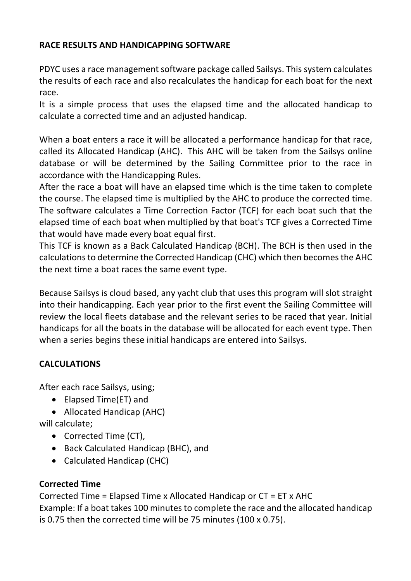#### **RACE RESULTS AND HANDICAPPING SOFTWARE**

PDYC uses a race management software package called Sailsys. This system calculates the results of each race and also recalculates the handicap for each boat for the next race.

It is a simple process that uses the elapsed time and the allocated handicap to calculate a corrected time and an adjusted handicap.

When a boat enters a race it will be allocated a performance handicap for that race, called its Allocated Handicap (AHC). This AHC will be taken from the Sailsys online database or will be determined by the Sailing Committee prior to the race in accordance with the Handicapping Rules.

After the race a boat will have an elapsed time which is the time taken to complete the course. The elapsed time is multiplied by the AHC to produce the corrected time. The software calculates a Time Correction Factor (TCF) for each boat such that the elapsed time of each boat when multiplied by that boat's TCF gives a Corrected Time that would have made every boat equal first.

This TCF is known as a Back Calculated Handicap (BCH). The BCH is then used in the calculations to determine the Corrected Handicap (CHC) which then becomes the AHC the next time a boat races the same event type.

Because Sailsys is cloud based, any yacht club that uses this program will slot straight into their handicapping. Each year prior to the first event the Sailing Committee will review the local fleets database and the relevant series to be raced that year. Initial handicaps for all the boats in the database will be allocated for each event type. Then when a series begins these initial handicaps are entered into Sailsys.

#### **CALCULATIONS**

After each race Sailsys, using;

- Elapsed Time(ET) and
- Allocated Handicap (AHC)

will calculate;

- Corrected Time (CT),
- Back Calculated Handicap (BHC), and
- Calculated Handicap (CHC)

#### **Corrected Time**

Corrected Time = Elapsed Time x Allocated Handicap or CT = ET x AHC Example: If a boat takes 100 minutes to complete the race and the allocated handicap is 0.75 then the corrected time will be 75 minutes (100 x 0.75).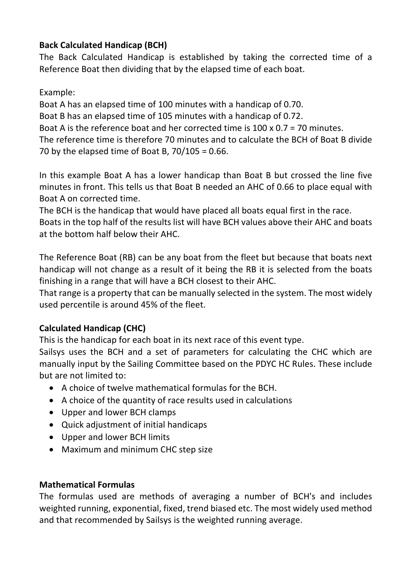#### **Back Calculated Handicap (BCH)**

The Back Calculated Handicap is established by taking the corrected time of a Reference Boat then dividing that by the elapsed time of each boat.

#### Example:

Boat A has an elapsed time of 100 minutes with a handicap of 0.70. Boat B has an elapsed time of 105 minutes with a handicap of 0.72. Boat A is the reference boat and her corrected time is 100 x 0.7 = 70 minutes. The reference time is therefore 70 minutes and to calculate the BCH of Boat B divide 70 by the elapsed time of Boat B,  $70/105 = 0.66$ .

In this example Boat A has a lower handicap than Boat B but crossed the line five minutes in front. This tells us that Boat B needed an AHC of 0.66 to place equal with Boat A on corrected time.

The BCH is the handicap that would have placed all boats equal first in the race. Boats in the top half of the results list will have BCH values above their AHC and boats at the bottom half below their AHC.

The Reference Boat (RB) can be any boat from the fleet but because that boats next handicap will not change as a result of it being the RB it is selected from the boats finishing in a range that will have a BCH closest to their AHC.

That range is a property that can be manually selected in the system. The most widely used percentile is around 45% of the fleet.

#### **Calculated Handicap (CHC)**

This is the handicap for each boat in its next race of this event type.

Sailsys uses the BCH and a set of parameters for calculating the CHC which are manually input by the Sailing Committee based on the PDYC HC Rules. These include but are not limited to:

- A choice of twelve mathematical formulas for the BCH.
- A choice of the quantity of race results used in calculations
- Upper and lower BCH clamps
- Quick adjustment of initial handicaps
- Upper and lower BCH limits
- Maximum and minimum CHC step size

#### **Mathematical Formulas**

The formulas used are methods of averaging a number of BCH's and includes weighted running, exponential, fixed, trend biased etc. The most widely used method and that recommended by Sailsys is the weighted running average.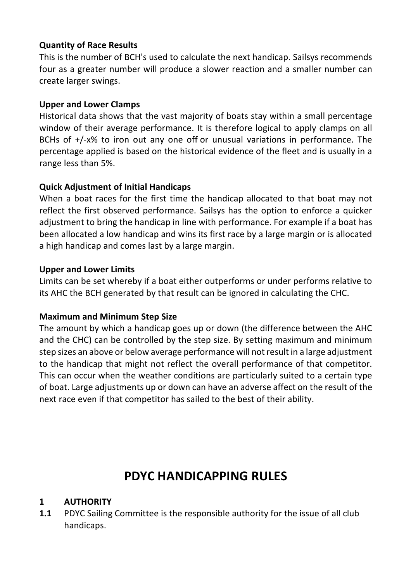#### **Quantity of Race Results**

This is the number of BCH's used to calculate the next handicap. Sailsys recommends four as a greater number will produce a slower reaction and a smaller number can create larger swings.

#### **Upper and Lower Clamps**

Historical data shows that the vast majority of boats stay within a small percentage window of their average performance. It is therefore logical to apply clamps on all BCHs of +/-x% to iron out any one off or unusual variations in performance. The percentage applied is based on the historical evidence of the fleet and is usually in a range less than 5%.

#### **Quick Adjustment of Initial Handicaps**

When a boat races for the first time the handicap allocated to that boat may not reflect the first observed performance. Sailsys has the option to enforce a quicker adjustment to bring the handicap in line with performance. For example if a boat has been allocated a low handicap and wins its first race by a large margin or is allocated a high handicap and comes last by a large margin.

#### **Upper and Lower Limits**

Limits can be set whereby if a boat either outperforms or under performs relative to its AHC the BCH generated by that result can be ignored in calculating the CHC.

#### **Maximum and Minimum Step Size**

The amount by which a handicap goes up or down (the difference between the AHC and the CHC) can be controlled by the step size. By setting maximum and minimum step sizes an above or below average performance will not result in a large adjustment to the handicap that might not reflect the overall performance of that competitor. This can occur when the weather conditions are particularly suited to a certain type of boat. Large adjustments up or down can have an adverse affect on the result of the next race even if that competitor has sailed to the best of their ability.

# **PDYC HANDICAPPING RULES**

#### **1 AUTHORITY**

**1.1** PDYC Sailing Committee is the responsible authority for the issue of all club handicaps.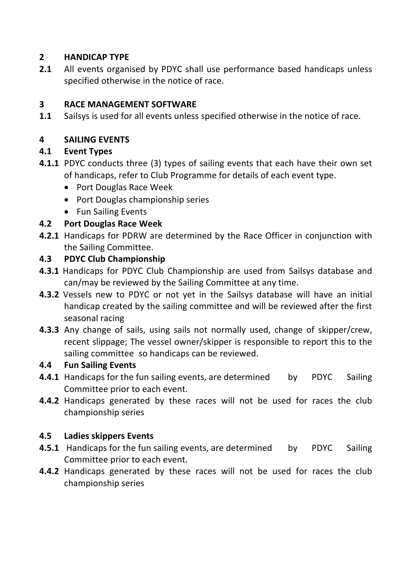#### **2 HANDICAP TYPE**

**2.1** All events organised by PDYC shall use performance based handicaps unless specified otherwise in the notice of race.

#### **3 RACE MANAGEMENT SOFTWARE**

**1.1** Sailsys is used for all events unless specified otherwise in the notice of race.

#### **4 SAILING EVENTS**

#### **4.1 Event Types**

- **4.1.1** PDYC conducts three (3) types of sailing events that each have their own set of handicaps, refer to Club Programme for details of each event type.
	- Port Douglas Race Week
	- Port Douglas championship series
	- Fun Sailing Events

#### **4.2 Port Douglas Race Week**

**4.2.1** Handicaps for PDRW are determined by the Race Officer in conjunction with the Sailing Committee.

#### **4.3 PDYC Club Championship**

- **4.3.1** Handicaps for PDYC Club Championship are used from Sailsys database and can/may be reviewed by the Sailing Committee at any time.
- **4.3.2** Vessels new to PDYC or not yet in the Sailsys database will have an initial handicap created by the sailing committee and will be reviewed after the first seasonal racing
- **4.3.3** Any change of sails, using sails not normally used, change of skipper/crew, recent slippage; The vessel owner/skipper is responsible to report this to the sailing committee so handicaps can be reviewed.

#### **4.4 Fun Sailing Events**

- **4.4.1** Handicaps for the fun sailing events, are determined by PDYC Sailing Committee prior to each event.
- **4.4.2** Handicaps generated by these races will not be used for races the club championship series

#### **4.5 Ladies skippers Events**

- **4.5.1** Handicaps for the fun sailing events, are determined by PDYC Sailing Committee prior to each event.
- **4.4.2** Handicaps generated by these races will not be used for races the club championship series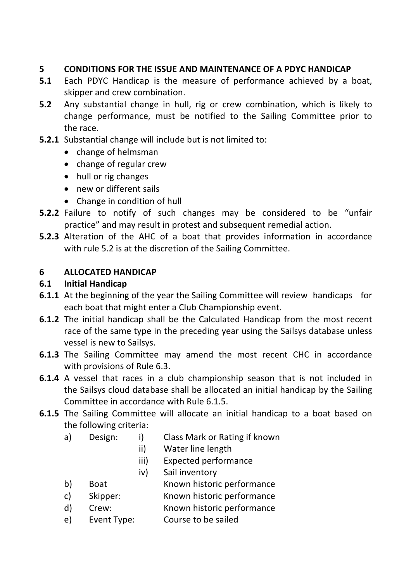#### **5 CONDITIONS FOR THE ISSUE AND MAINTENANCE OF A PDYC HANDICAP**

- **5.1** Each PDYC Handicap is the measure of performance achieved by a boat, skipper and crew combination.
- **5.2** Any substantial change in hull, rig or crew combination, which is likely to change performance, must be notified to the Sailing Committee prior to the race.
- **5.2.1** Substantial change will include but is not limited to:
	- change of helmsman
	- change of regular crew
	- hull or rig changes
	- new or different sails
	- Change in condition of hull
- **5.2.2** Failure to notify of such changes may be considered to be "unfair practice" and may result in protest and subsequent remedial action.
- **5.2.3** Alteration of the AHC of a boat that provides information in accordance with rule 5.2 is at the discretion of the Sailing Committee.

#### **6 ALLOCATED HANDICAP**

#### **6.1 Initial Handicap**

- **6.1.1** At the beginning of the year the Sailing Committee will review handicaps for each boat that might enter a Club Championship event.
- **6.1.2** The initial handicap shall be the Calculated Handicap from the most recent race of the same type in the preceding year using the Sailsys database unless vessel is new to Sailsys.
- **6.1.3** The Sailing Committee may amend the most recent CHC in accordance with provisions of Rule 6.3.
- **6.1.4** A vessel that races in a club championship season that is not included in the Sailsys cloud database shall be allocated an initial handicap by the Sailing Committee in accordance with Rule 6.1.5.
- **6.1.5** The Sailing Committee will allocate an initial handicap to a boat based on the following criteria:
	- a) Design: i) Class Mark or Rating if known
		- ii) Water line length
		- iii) Expected performance
		- iv) Sail inventory
	- b) Boat Known historic performance
	- c) Skipper: Known historic performance
	- d) Crew: Known historic performance
	- e) Event Type: Course to be sailed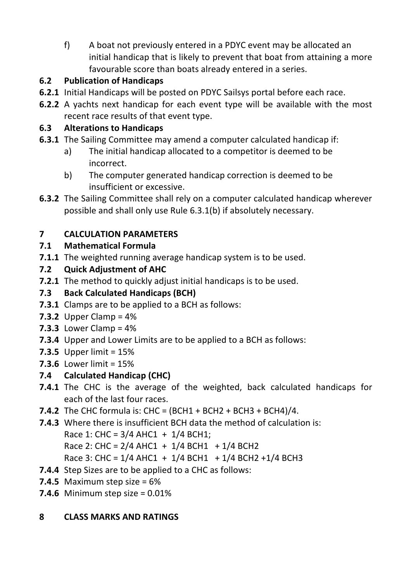f) A boat not previously entered in a PDYC event may be allocated an initial handicap that is likely to prevent that boat from attaining a more favourable score than boats already entered in a series.

# **6.2 Publication of Handicaps**

- **6.2.1** Initial Handicaps will be posted on PDYC Sailsys portal before each race.
- **6.2.2** A yachts next handicap for each event type will be available with the most recent race results of that event type.

# **6.3 Alterations to Handicaps**

- **6.3.1** The Sailing Committee may amend a computer calculated handicap if:
	- a) The initial handicap allocated to a competitor is deemed to be incorrect.
	- b) The computer generated handicap correction is deemed to be insufficient or excessive.
- **6.3.2** The Sailing Committee shall rely on a computer calculated handicap wherever possible and shall only use Rule 6.3.1(b) if absolutely necessary.

# **7 CALCULATION PARAMETERS**

# **7.1 Mathematical Formula**

**7.1.1** The weighted running average handicap system is to be used.

# **7.2 Quick Adjustment of AHC**

**7.2.1** The method to quickly adjust initial handicaps is to be used.

# **7.3 Back Calculated Handicaps (BCH)**

- **7.3.1** Clamps are to be applied to a BCH as follows:
- **7.3.2** Upper Clamp = 4%
- **7.3.3** Lower Clamp = 4%
- **7.3.4** Upper and Lower Limits are to be applied to a BCH as follows:
- **7.3.5** Upper limit = 15%
- **7.3.6** Lower limit = 15%

# **7.4 Calculated Handicap (CHC)**

- **7.4.1** The CHC is the average of the weighted, back calculated handicaps for each of the last four races.
- **7.4.2** The CHC formula is: CHC = (BCH1 + BCH2 + BCH3 + BCH4)/4.
- **7.4.3** Where there is insufficient BCH data the method of calculation is:

Race 1: CHC =  $3/4$  AHC1 +  $1/4$  BCH1:

Race 2: CHC =  $2/4$  AHC1 +  $1/4$  BCH1 +  $1/4$  BCH2

Race 3: CHC =  $1/4$  AHC1 +  $1/4$  BCH1 +  $1/4$  BCH2 + $1/4$  BCH3

- **7.4.4** Step Sizes are to be applied to a CHC as follows:
- **7.4.5** Maximum step size = 6%
- **7.4.6** Minimum step size = 0.01%

# **8 CLASS MARKS AND RATINGS**